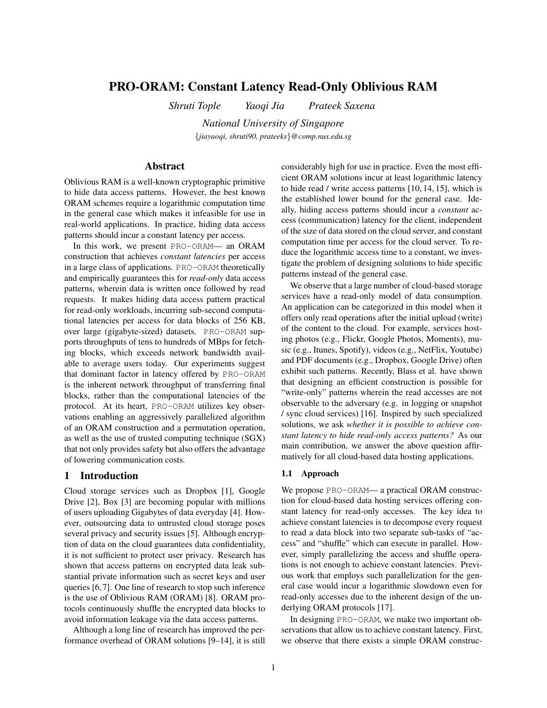# PRO-ORAM: Constant Latency Read-Only Oblivious RAM

*Shruti Tople Yaoqi Jia Prateek Saxena*

*National University of Singapore* {*jiayaoqi, shruti90, prateeks*}*@comp.nus.edu.sg*

# Abstract

Oblivious RAM is a well-known cryptographic primitive to hide data access patterns. However, the best known ORAM schemes require a logarithmic computation time in the general case which makes it infeasible for use in real-world applications. In practice, hiding data access patterns should incur a constant latency per access.

In this work, we present PRO-ORAM— an ORAM construction that achieves *constant latencies* per access in a large class of applications. PRO-ORAM theoretically and empirically guarantees this for *read-only* data access patterns, wherein data is written once followed by read requests. It makes hiding data access pattern practical for read-only workloads, incurring sub-second computational latencies per access for data blocks of 256 KB, over large (gigabyte-sized) datasets. PRO-ORAM supports throughputs of tens to hundreds of MBps for fetching blocks, which exceeds network bandwidth available to average users today. Our experiments suggest that dominant factor in latency offered by PRO-ORAM is the inherent network throughput of transferring final blocks, rather than the computational latencies of the protocol. At its heart, PRO-ORAM utilizes key observations enabling an aggressively parallelized algorithm of an ORAM construction and a permutation operation, as well as the use of trusted computing technique (SGX) that not only provides safety but also offers the advantage of lowering communication costs.

# 1 Introduction

Cloud storage services such as Dropbox [1], Google Drive [2], Box [3] are becoming popular with millions of users uploading Gigabytes of data everyday [4]. However, outsourcing data to untrusted cloud storage poses several privacy and security issues [5]. Although encryption of data on the cloud guarantees data confidentiality, it is not sufficient to protect user privacy. Research has shown that access patterns on encrypted data leak substantial private information such as secret keys and user queries [6,7]. One line of research to stop such inference is the use of Oblivious RAM (ORAM) [8]. ORAM protocols continuously shuffle the encrypted data blocks to avoid information leakage via the data access patterns.

Although a long line of research has improved the performance overhead of ORAM solutions [9–14], it is still considerably high for use in practice. Even the most efficient ORAM solutions incur at least logarithmic latency to hide read / write access patterns [10, 14, 15], which is the established lower bound for the general case. Ideally, hiding access patterns should incur a *constant* access (communication) latency for the client, independent of the size of data stored on the cloud server, and constant computation time per access for the cloud server. To reduce the logarithmic access time to a constant, we investigate the problem of designing solutions to hide specific patterns instead of the general case.

We observe that a large number of cloud-based storage services have a read-only model of data consumption. An application can be categorized in this model when it offers only read operations after the initial upload (write) of the content to the cloud. For example, services hosting photos (e.g., Flickr, Google Photos, Moments), music (e.g., Itunes, Spotify), videos (e.g., NetFlix, Youtube) and PDF documents (e.g., Dropbox, Google Drive) often exhibit such patterns. Recently, Blass et al. have shown that designing an efficient construction is possible for "write-only" patterns wherein the read accesses are not observable to the adversary (e.g. in logging or snapshot / sync cloud services) [16]. Inspired by such specialized solutions, we ask *whether it is possible to achieve constant latency to hide read-only access patterns?* As our main contribution, we answer the above question affirmatively for all cloud-based data hosting applications.

#### 1.1 Approach

We propose PRO-ORAM— a practical ORAM construction for cloud-based data hosting services offering constant latency for read-only accesses. The key idea to achieve constant latencies is to decompose every request to read a data block into two separate sub-tasks of "access" and "shuffle" which can execute in parallel. However, simply parallelizing the access and shuffle operations is not enough to achieve constant latencies. Previous work that employs such parallelization for the general case would incur a logarithmic slowdown even for read-only accesses due to the inherent design of the underlying ORAM protocols [17].

In designing PRO-ORAM, we make two important observations that allow us to achieve constant latency. First, we observe that there exists a simple ORAM construc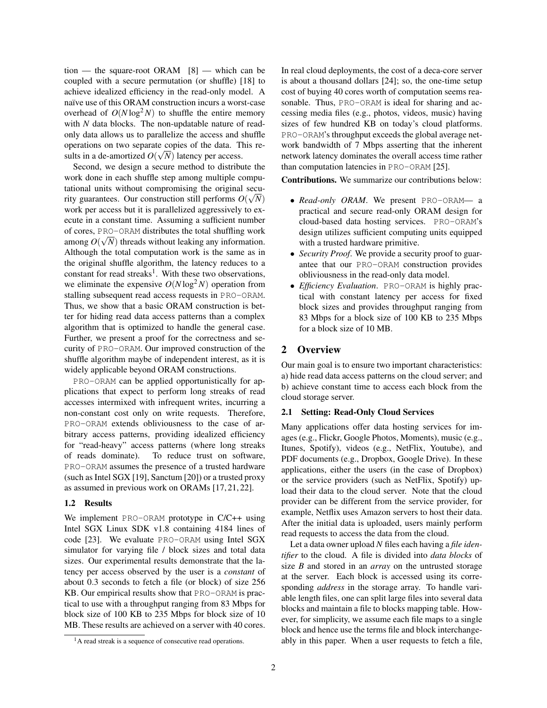tion — the square-root ORAM [8] — which can be coupled with a secure permutation (or shuffle) [18] to achieve idealized efficiency in the read-only model. A naïve use of this ORAM construction incurs a worst-case overhead of  $O(N \log^2 N)$  to shuffle the entire memory with *N* data blocks. The non-updatable nature of readonly data allows us to parallelize the access and shuffle operations on two separate copies of the data. This results in a de-amortized  $O(\sqrt{N})$  latency per access.

Second, we design a secure method to distribute the work done in each shuffle step among multiple computational units without compromising the original security guarantees. Our construction still performs  $O(\sqrt{N})$ work per access but it is parallelized aggressively to execute in a constant time. Assuming a sufficient number of cores, PRO-ORAM distributes the total shuffling work √ among  $O(\sqrt{N})$  threads without leaking any information. Although the total computation work is the same as in the original shuffle algorithm, the latency reduces to a constant for read streaks<sup>1</sup>. With these two observations, we eliminate the expensive  $O(N \log^2 N)$  operation from stalling subsequent read access requests in PRO-ORAM. Thus, we show that a basic ORAM construction is better for hiding read data access patterns than a complex algorithm that is optimized to handle the general case. Further, we present a proof for the correctness and security of PRO-ORAM. Our improved construction of the shuffle algorithm maybe of independent interest, as it is widely applicable beyond ORAM constructions.

PRO-ORAM can be applied opportunistically for applications that expect to perform long streaks of read accesses intermixed with infrequent writes, incurring a non-constant cost only on write requests. Therefore, PRO-ORAM extends obliviousness to the case of arbitrary access patterns, providing idealized efficiency for "read-heavy" access patterns (where long streaks of reads dominate). To reduce trust on software, PRO-ORAM assumes the presence of a trusted hardware (such as Intel SGX [19], Sanctum [20]) or a trusted proxy as assumed in previous work on ORAMs [17, 21, 22].

#### 1.2 Results

We implement PRO-ORAM prototype in C/C++ using Intel SGX Linux SDK v1.8 containing 4184 lines of code [23]. We evaluate PRO-ORAM using Intel SGX simulator for varying file / block sizes and total data sizes. Our experimental results demonstrate that the latency per access observed by the user is a *constant* of about 0.3 seconds to fetch a file (or block) of size 256 KB. Our empirical results show that PRO-ORAM is practical to use with a throughput ranging from 83 Mbps for block size of 100 KB to 235 Mbps for block size of 10 MB. These results are achieved on a server with 40 cores.

In real cloud deployments, the cost of a deca-core server is about a thousand dollars [24]; so, the one-time setup cost of buying 40 cores worth of computation seems reasonable. Thus, PRO-ORAM is ideal for sharing and accessing media files (e.g., photos, videos, music) having sizes of few hundred KB on today's cloud platforms. PRO-ORAM's throughput exceeds the global average network bandwidth of 7 Mbps asserting that the inherent network latency dominates the overall access time rather than computation latencies in PRO-ORAM [25].

Contributions. We summarize our contributions below:

- *Read-only ORAM*. We present PRO-ORAM— a practical and secure read-only ORAM design for cloud-based data hosting services. PRO-ORAM's design utilizes sufficient computing units equipped with a trusted hardware primitive.
- *Security Proof*. We provide a security proof to guarantee that our PRO-ORAM construction provides obliviousness in the read-only data model.
- *Efficiency Evaluation*. PRO-ORAM is highly practical with constant latency per access for fixed block sizes and provides throughput ranging from 83 Mbps for a block size of 100 KB to 235 Mbps for a block size of 10 MB.

## 2 Overview

Our main goal is to ensure two important characteristics: a) hide read data access patterns on the cloud server; and b) achieve constant time to access each block from the cloud storage server.

### 2.1 Setting: Read-Only Cloud Services

Many applications offer data hosting services for images (e.g., Flickr, Google Photos, Moments), music (e.g., Itunes, Spotify), videos (e.g., NetFlix, Youtube), and PDF documents (e.g., Dropbox, Google Drive). In these applications, either the users (in the case of Dropbox) or the service providers (such as NetFlix, Spotify) upload their data to the cloud server. Note that the cloud provider can be different from the service provider, for example, Netflix uses Amazon servers to host their data. After the initial data is uploaded, users mainly perform read requests to access the data from the cloud.

Let a data owner upload *N* files each having a *file identifier* to the cloud. A file is divided into *data blocks* of size *B* and stored in an *array* on the untrusted storage at the server. Each block is accessed using its corresponding *address* in the storage array. To handle variable length files, one can split large files into several data blocks and maintain a file to blocks mapping table. However, for simplicity, we assume each file maps to a single block and hence use the terms file and block interchangeably in this paper. When a user requests to fetch a file,

 $<sup>1</sup>A$  read streak is a sequence of consecutive read operations.</sup>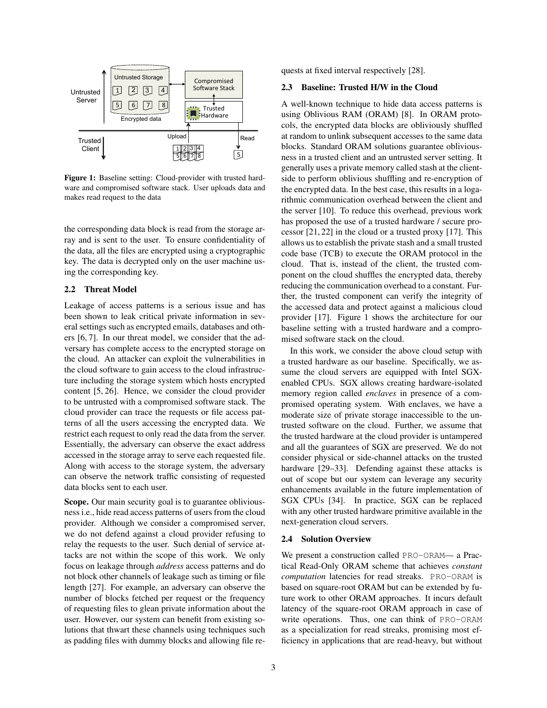

Figure 1: Baseline setting: Cloud-provider with trusted hardware and compromised software stack. User uploads data and makes read request to the data

the corresponding data block is read from the storage array and is sent to the user. To ensure confidentiality of the data, all the files are encrypted using a cryptographic key. The data is decrypted only on the user machine using the corresponding key.

### 2.2 Threat Model

Leakage of access patterns is a serious issue and has been shown to leak critical private information in several settings such as encrypted emails, databases and others [6, 7]. In our threat model, we consider that the adversary has complete access to the encrypted storage on the cloud. An attacker can exploit the vulnerabilities in the cloud software to gain access to the cloud infrastructure including the storage system which hosts encrypted content [5, 26]. Hence, we consider the cloud provider to be untrusted with a compromised software stack. The cloud provider can trace the requests or file access patterns of all the users accessing the encrypted data. We restrict each request to only read the data from the server. Essentially, the adversary can observe the exact address accessed in the storage array to serve each requested file. Along with access to the storage system, the adversary can observe the network traffic consisting of requested data blocks sent to each user.

Scope. Our main security goal is to guarantee obliviousness i.e., hide read access patterns of users from the cloud provider. Although we consider a compromised server, we do not defend against a cloud provider refusing to relay the requests to the user. Such denial of service attacks are not within the scope of this work. We only focus on leakage through *address* access patterns and do not block other channels of leakage such as timing or file length [27]. For example, an adversary can observe the number of blocks fetched per request or the frequency of requesting files to glean private information about the user. However, our system can benefit from existing solutions that thwart these channels using techniques such as padding files with dummy blocks and allowing file requests at fixed interval respectively [28].

### 2.3 Baseline: Trusted H/W in the Cloud

A well-known technique to hide data access patterns is using Oblivious RAM (ORAM) [8]. In ORAM protocols, the encrypted data blocks are obliviously shuffled at random to unlink subsequent accesses to the same data blocks. Standard ORAM solutions guarantee obliviousness in a trusted client and an untrusted server setting. It generally uses a private memory called stash at the clientside to perform oblivious shuffling and re-encryption of the encrypted data. In the best case, this results in a logarithmic communication overhead between the client and the server [10]. To reduce this overhead, previous work has proposed the use of a trusted hardware / secure processor [21, 22] in the cloud or a trusted proxy [17]. This allows us to establish the private stash and a small trusted code base (TCB) to execute the ORAM protocol in the cloud. That is, instead of the client, the trusted component on the cloud shuffles the encrypted data, thereby reducing the communication overhead to a constant. Further, the trusted component can verify the integrity of the accessed data and protect against a malicious cloud provider [17]. Figure 1 shows the architecture for our baseline setting with a trusted hardware and a compromised software stack on the cloud.

In this work, we consider the above cloud setup with a trusted hardware as our baseline. Specifically, we assume the cloud servers are equipped with Intel SGXenabled CPUs. SGX allows creating hardware-isolated memory region called *enclaves* in presence of a compromised operating system. With enclaves, we have a moderate size of private storage inaccessible to the untrusted software on the cloud. Further, we assume that the trusted hardware at the cloud provider is untampered and all the guarantees of SGX are preserved. We do not consider physical or side-channel attacks on the trusted hardware [29–33]. Defending against these attacks is out of scope but our system can leverage any security enhancements available in the future implementation of SGX CPUs [34]. In practice, SGX can be replaced with any other trusted hardware primitive available in the next-generation cloud servers.

#### 2.4 Solution Overview

We present a construction called PRO-ORAM— a Practical Read-Only ORAM scheme that achieves *constant computation* latencies for read streaks. PRO-ORAM is based on square-root ORAM but can be extended by future work to other ORAM approaches. It incurs default latency of the square-root ORAM approach in case of write operations. Thus, one can think of PRO-ORAM as a specialization for read streaks, promising most efficiency in applications that are read-heavy, but without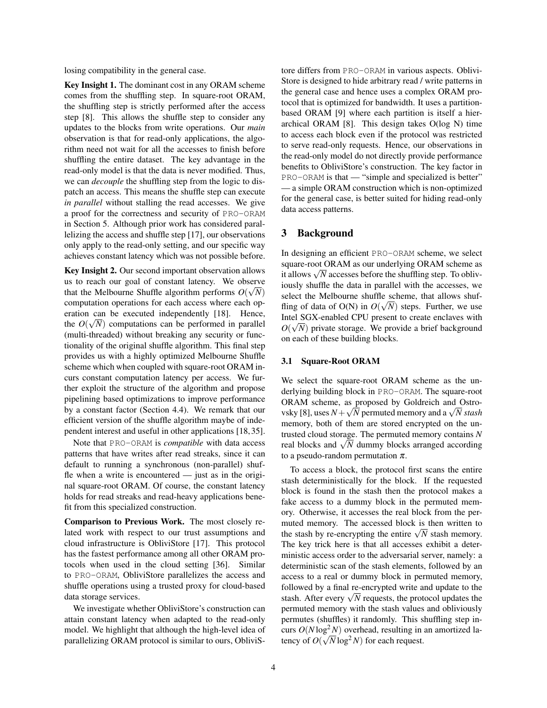losing compatibility in the general case.

Key Insight 1. The dominant cost in any ORAM scheme comes from the shuffling step. In square-root ORAM, the shuffling step is strictly performed after the access step [8]. This allows the shuffle step to consider any updates to the blocks from write operations. Our *main* observation is that for read-only applications, the algorithm need not wait for all the accesses to finish before shuffling the entire dataset. The key advantage in the read-only model is that the data is never modified. Thus, we can *decouple* the shuffling step from the logic to dispatch an access. This means the shuffle step can execute *in parallel* without stalling the read accesses. We give a proof for the correctness and security of PRO-ORAM in Section 5. Although prior work has considered parallelizing the access and shuffle step [17], our observations only apply to the read-only setting, and our specific way achieves constant latency which was not possible before.

Key Insight 2. Our second important observation allows us to reach our goal of constant latency. We observe that the Melbourne Shuffle algorithm performs  $O(\sqrt{N})$ computation operations for each access where each operation can be executed independently [18]. Hence, the  $O(\sqrt{N})$  computations can be performed in parallel (multi-threaded) without breaking any security or functionality of the original shuffle algorithm. This final step provides us with a highly optimized Melbourne Shuffle scheme which when coupled with square-root ORAM incurs constant computation latency per access. We further exploit the structure of the algorithm and propose pipelining based optimizations to improve performance by a constant factor (Section 4.4). We remark that our efficient version of the shuffle algorithm maybe of independent interest and useful in other applications [18, 35].

Note that PRO-ORAM is *compatible* with data access patterns that have writes after read streaks, since it can default to running a synchronous (non-parallel) shuffle when a write is encountered — just as in the original square-root ORAM. Of course, the constant latency holds for read streaks and read-heavy applications benefit from this specialized construction.

Comparison to Previous Work. The most closely related work with respect to our trust assumptions and cloud infrastructure is ObliviStore [17]. This protocol has the fastest performance among all other ORAM protocols when used in the cloud setting [36]. Similar to PRO-ORAM, ObliviStore parallelizes the access and shuffle operations using a trusted proxy for cloud-based data storage services.

We investigate whether ObliviStore's construction can attain constant latency when adapted to the read-only model. We highlight that although the high-level idea of parallelizing ORAM protocol is similar to ours, ObliviS- tore differs from PRO-ORAM in various aspects. Oblivi-Store is designed to hide arbitrary read / write patterns in the general case and hence uses a complex ORAM protocol that is optimized for bandwidth. It uses a partitionbased ORAM [9] where each partition is itself a hierarchical ORAM [8]. This design takes O(log N) time to access each block even if the protocol was restricted to serve read-only requests. Hence, our observations in the read-only model do not directly provide performance benefits to ObliviStore's construction. The key factor in PRO-ORAM is that — "simple and specialized is better" — a simple ORAM construction which is non-optimized for the general case, is better suited for hiding read-only data access patterns.

# 3 Background

In designing an efficient PRO-ORAM scheme, we select square-root ORAM as our underlying ORAM scheme as square-root ORAM as our underlying ORAM scheme as<br>it allows  $\sqrt{N}$  accesses before the shuffling step. To obliviously shuffle the data in parallel with the accesses, we select the Melbourne shuffle scheme, that allows shuffling of data of  $O(N)$  in  $O(\sqrt{N})$  steps. Further, we use Intel SGX-enabled CPU present to create enclaves with √  $O(\sqrt{N})$  private storage. We provide a brief background on each of these building blocks.

### 3.1 Square-Root ORAM

We select the square-root ORAM scheme as the underlying building block in PRO-ORAM. The square-root ORAM scheme, as proposed by Goldreich and Ostro-URAM scheme, as proposed by Goldreich and Ustro-<br>vsky [8], uses  $N + \sqrt{N}$  permuted memory and a  $\sqrt{N}$  *stash* memory, both of them are stored encrypted on the untrusted cloud storage. The permuted memory contains *N* rrusted cioud storage. The permuted memory contains *N* real blocks and  $\sqrt{N}$  dummy blocks arranged according to a pseudo-random permutation  $\pi$ .

To access a block, the protocol first scans the entire stash deterministically for the block. If the requested block is found in the stash then the protocol makes a fake access to a dummy block in the permuted memory. Otherwise, it accesses the real block from the permuted memory. The accessed block is then written to muted memory. The accessed block is then written to the stash by re-encrypting the entire  $\sqrt{N}$  stash memory. The key trick here is that all accesses exhibit a deterministic access order to the adversarial server, namely: a deterministic scan of the stash elements, followed by an access to a real or dummy block in permuted memory, followed by a final re-encrypted write and update to the ronowed by a final re-encrypted write and update to the stash. After every  $\sqrt{N}$  requests, the protocol updates the permuted memory with the stash values and obliviously permutes (shuffles) it randomly. This shuffling step incurs  $O(N \log^2 N)$  overhead, resulting in an amortized latency of  $O(\sqrt{N}\log^2 N)$  for each request.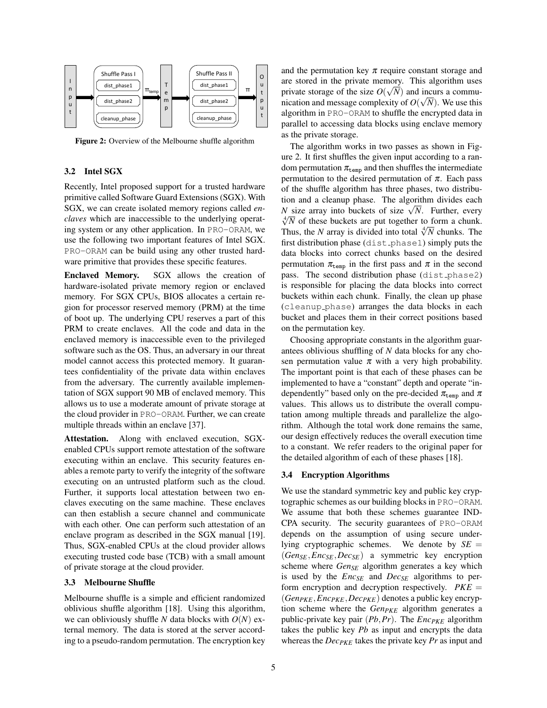

Figure 2: Overview of the Melbourne shuffle algorithm

### 3.2 Intel SGX

Recently, Intel proposed support for a trusted hardware primitive called Software Guard Extensions (SGX). With SGX, we can create isolated memory regions called *enclaves* which are inaccessible to the underlying operating system or any other application. In PRO-ORAM, we use the following two important features of Intel SGX. PRO-ORAM can be build using any other trusted hardware primitive that provides these specific features.

Enclaved Memory. SGX allows the creation of hardware-isolated private memory region or enclaved memory. For SGX CPUs, BIOS allocates a certain region for processor reserved memory (PRM) at the time of boot up. The underlying CPU reserves a part of this PRM to create enclaves. All the code and data in the enclaved memory is inaccessible even to the privileged software such as the OS. Thus, an adversary in our threat model cannot access this protected memory. It guarantees confidentiality of the private data within enclaves from the adversary. The currently available implementation of SGX support 90 MB of enclaved memory. This allows us to use a moderate amount of private storage at the cloud provider in PRO-ORAM. Further, we can create multiple threads within an enclave [37].

Attestation. Along with enclaved execution, SGXenabled CPUs support remote attestation of the software executing within an enclave. This security features enables a remote party to verify the integrity of the software executing on an untrusted platform such as the cloud. Further, it supports local attestation between two enclaves executing on the same machine. These enclaves can then establish a secure channel and communicate with each other. One can perform such attestation of an enclave program as described in the SGX manual [19]. Thus, SGX-enabled CPUs at the cloud provider allows executing trusted code base (TCB) with a small amount of private storage at the cloud provider.

#### 3.3 Melbourne Shuffle

Melbourne shuffle is a simple and efficient randomized oblivious shuffle algorithm [18]. Using this algorithm, we can obliviously shuffle *N* data blocks with  $O(N)$  external memory. The data is stored at the server according to a pseudo-random permutation. The encryption key and the permutation key  $\pi$  require constant storage and are stored in the private memory. This algorithm uses private storage of the size  $O(\sqrt{N})$  and incurs a communication and message complexity of  $O(\sqrt{N})$ . We use this algorithm in PRO-ORAM to shuffle the encrypted data in parallel to accessing data blocks using enclave memory as the private storage.

The algorithm works in two passes as shown in Figure 2. It first shuffles the given input according to a random permutation  $\pi_{temp}$  and then shuffles the intermediate permutation to the desired permutation of  $\pi$ . Each pass of the shuffle algorithm has three phases, two distribution and a cleanup phase. The algorithm divides each tion and a cleanup phase. The aigorithm divides each  $N$  size array into buckets of size  $\sqrt{N}$ . Further, every  $\sqrt[4]{N}$  of these buckets are put together to form a chunk. Thus, the *N* array is divided into total  $\sqrt[4]{N}$  chunks. The first distribution phase  $(dist\_phase1)$  simply puts the data blocks into correct chunks based on the desired permutation  $\pi_{\text{temp}}$  in the first pass and  $\pi$  in the second pass. The second distribution phase (dist\_phase2) is responsible for placing the data blocks into correct buckets within each chunk. Finally, the clean up phase (cleanup phase) arranges the data blocks in each bucket and places them in their correct positions based on the permutation key.

Choosing appropriate constants in the algorithm guarantees oblivious shuffling of *N* data blocks for any chosen permutation value  $\pi$  with a very high probability. The important point is that each of these phases can be implemented to have a "constant" depth and operate "independently" based only on the pre-decided  $\pi_{\text{temp}}$  and  $\pi$ values. This allows us to distribute the overall computation among multiple threads and parallelize the algorithm. Although the total work done remains the same, our design effectively reduces the overall execution time to a constant. We refer readers to the original paper for the detailed algorithm of each of these phases [18].

#### 3.4 Encryption Algorithms

We use the standard symmetric key and public key cryptographic schemes as our building blocks in PRO-ORAM. We assume that both these schemes guarantee IND-CPA security. The security guarantees of PRO-ORAM depends on the assumption of using secure underlying cryptographic schemes. We denote by  $SE =$ (*GenSE*,*EncSE*,*DecSE*) a symmetric key encryption scheme where *GenSE* algorithm generates a key which is used by the *EncSE* and *DecSE* algorithms to perform encryption and decryption respectively.  $PKE =$ (*GenPKE*,*EncPKE*,*DecPKE*) denotes a public key encryption scheme where the *GenPKE* algorithm generates a public-private key pair (*Pb*,*Pr*). The *EncPKE* algorithm takes the public key *Pb* as input and encrypts the data whereas the *DecPKE* takes the private key *Pr* as input and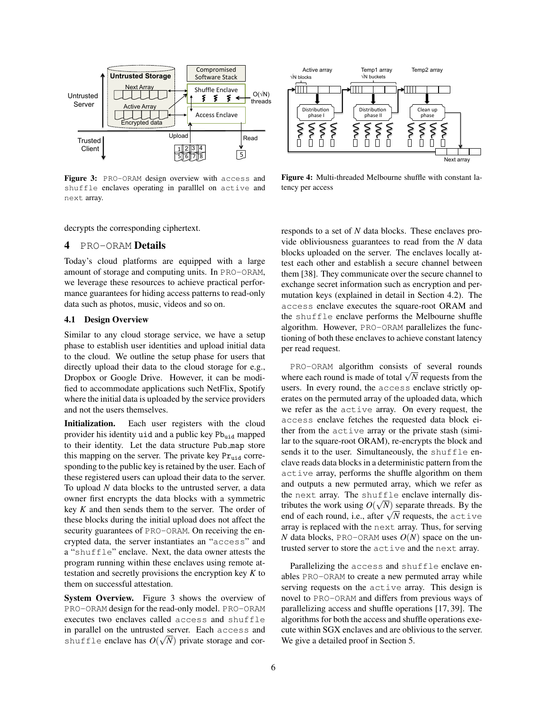

Figure 3: PRO-ORAM design overview with access and shuffle enclaves operating in paralllel on active and next array.



Figure 4: Multi-threaded Melbourne shuffle with constant latency per access

decrypts the corresponding ciphertext.

# 4 PRO-ORAM Details

Today's cloud platforms are equipped with a large amount of storage and computing units. In PRO-ORAM, we leverage these resources to achieve practical performance guarantees for hiding access patterns to read-only data such as photos, music, videos and so on.

### 4.1 Design Overview

Similar to any cloud storage service, we have a setup phase to establish user identities and upload initial data to the cloud. We outline the setup phase for users that directly upload their data to the cloud storage for e.g., Dropbox or Google Drive. However, it can be modified to accommodate applications such NetFlix, Spotify where the initial data is uploaded by the service providers and not the users themselves.

Initialization. Each user registers with the cloud provider his identity uid and a public key  $Pb_{uid}$  mapped to their identity. Let the data structure Pub map store this mapping on the server. The private key  $Pr_{uid}$  corresponding to the public key is retained by the user. Each of these registered users can upload their data to the server. To upload *N* data blocks to the untrusted server, a data owner first encrypts the data blocks with a symmetric key *K* and then sends them to the server. The order of these blocks during the initial upload does not affect the security guarantees of PRO-ORAM. On receiving the encrypted data, the server instantiates an "access" and a "shuffle" enclave. Next, the data owner attests the program running within these enclaves using remote attestation and secretly provisions the encryption key *K* to them on successful attestation.

System Overview. Figure 3 shows the overview of PRO-ORAM design for the read-only model. PRO-ORAM executes two enclaves called access and shuffle in parallel on the untrusted server. Each  $\alpha$  access and shuffle enclave has  $O(\sqrt{N})$  private storage and corresponds to a set of *N* data blocks. These enclaves provide obliviousness guarantees to read from the *N* data blocks uploaded on the server. The enclaves locally attest each other and establish a secure channel between them [38]. They communicate over the secure channel to exchange secret information such as encryption and permutation keys (explained in detail in Section 4.2). The access enclave executes the square-root ORAM and the shuffle enclave performs the Melbourne shuffle algorithm. However, PRO-ORAM parallelizes the functioning of both these enclaves to achieve constant latency per read request.

PRO-ORAM algorithm consists of several rounds  $P_{\text{NO}-\text{OKAM}}$  algorithm consists of several rounds<br>where each round is made of total  $\sqrt{N}$  requests from the users. In every round, the access enclave strictly operates on the permuted array of the uploaded data, which we refer as the active array. On every request, the access enclave fetches the requested data block either from the active array or the private stash (similar to the square-root ORAM), re-encrypts the block and sends it to the user. Simultaneously, the shuffle enclave reads data blocks in a deterministic pattern from the active array, performs the shuffle algorithm on them and outputs a new permuted array, which we refer as the next array. The shuffle enclave internally dis-√ tributes the work using  $O(\sqrt{N})$  separate threads. By the The use the work using  $O(\sqrt{N})$  separate threads. By the end of each round, i.e., after  $\sqrt{N}$  requests, the active array is replaced with the next array. Thus, for serving *N* data blocks, PRO-ORAM uses  $O(N)$  space on the untrusted server to store the active and the next array.

Parallelizing the access and shuffle enclave enables PRO-ORAM to create a new permuted array while serving requests on the active array. This design is novel to PRO-ORAM and differs from previous ways of parallelizing access and shuffle operations [17, 39]. The algorithms for both the access and shuffle operations execute within SGX enclaves and are oblivious to the server. We give a detailed proof in Section 5.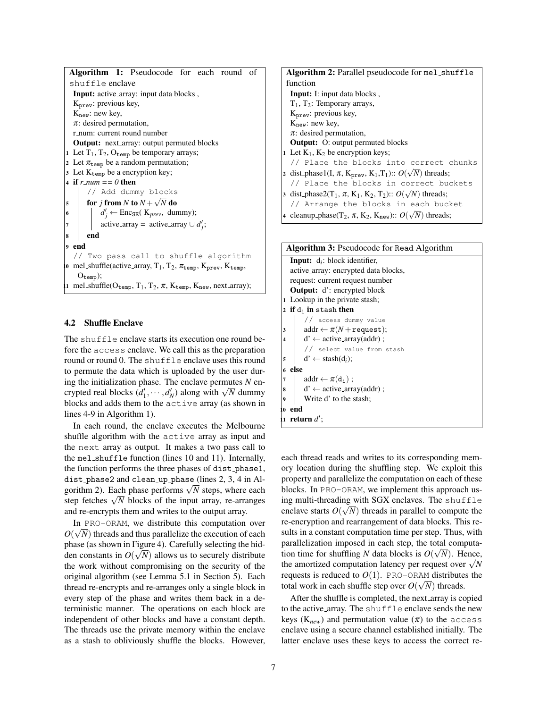|                | Algorithm 1: Pseudocode for each round of                                                                                  |  |  |  |  |  |  |  |  |
|----------------|----------------------------------------------------------------------------------------------------------------------------|--|--|--|--|--|--|--|--|
|                | shuffle <b>enclave</b>                                                                                                     |  |  |  |  |  |  |  |  |
|                | Input: active_array: input data blocks,                                                                                    |  |  |  |  |  |  |  |  |
|                | K <sub>prev</sub> : previous key,                                                                                          |  |  |  |  |  |  |  |  |
|                | $K_{\text{new}}$ : new key,                                                                                                |  |  |  |  |  |  |  |  |
|                | $\pi$ : desired permutation,                                                                                               |  |  |  |  |  |  |  |  |
|                | r_num: current round number                                                                                                |  |  |  |  |  |  |  |  |
|                | <b>Output:</b> next_array: output permuted blocks                                                                          |  |  |  |  |  |  |  |  |
|                | 1 Let $T_1$ , $T_2$ , $O_{temp}$ be temporary arrays;                                                                      |  |  |  |  |  |  |  |  |
|                | 2 Let $\pi_{temp}$ be a random permutation;                                                                                |  |  |  |  |  |  |  |  |
|                | 3 Let $K_{temp}$ be a encryption key;                                                                                      |  |  |  |  |  |  |  |  |
|                | 4 if r_num == 0 then                                                                                                       |  |  |  |  |  |  |  |  |
|                | // Add dummy blocks                                                                                                        |  |  |  |  |  |  |  |  |
| 5              | for j from N to $N + \sqrt{N}$ do                                                                                          |  |  |  |  |  |  |  |  |
|                | $d'_j \leftarrow \text{Enc}_{\text{SE}}(K_{prev}, \text{ dummy});$<br>$6\overline{6}$                                      |  |  |  |  |  |  |  |  |
| $\overline{7}$ | active_array = active_array $\cup d'_i$ ;                                                                                  |  |  |  |  |  |  |  |  |
| 8              | end                                                                                                                        |  |  |  |  |  |  |  |  |
| $\mathbf{Q}$   | end                                                                                                                        |  |  |  |  |  |  |  |  |
|                | // Two pass call to shuffle algorithm                                                                                      |  |  |  |  |  |  |  |  |
|                | io mel_shuffle(active_array, $T_1$ , $T_2$ , $\pi_{temp}$ , $K_{prev}$ , $K_{temp}$ ,                                      |  |  |  |  |  |  |  |  |
|                | $O_{temp}$ );                                                                                                              |  |  |  |  |  |  |  |  |
|                | 11 mel_shuffle( $O_{temp}$ , T <sub>1</sub> , T <sub>2</sub> , $\pi$ , K <sub>temp</sub> , K <sub>new</sub> , next_array); |  |  |  |  |  |  |  |  |

### 4.2 Shuffle Enclave

The shuffle enclave starts its execution one round before the access enclave. We call this as the preparation round or round 0. The shuffle enclave uses this round to permute the data which is uploaded by the user during the initialization phase. The enclave permutes *N* enlet initialization phase. The enclave permutes *N* encrypted real blocks  $(d'_1, \dots, d'_N)$  along with  $\sqrt{N}$  dummy blocks and adds them to the active array (as shown in lines 4-9 in Algorithm 1).

In each round, the enclave executes the Melbourne shuffle algorithm with the active array as input and the next array as output. It makes a two pass call to the mel shuffle function (lines 10 and 11). Internally, the function performs the three phases of dist phase1, dist phase2 and clean up phase (lines 2, 3, 4 in Alaist<sub>-</sub>phasez and clean-up-phase (lines 2, 5, 4 in Algorithm 2). Each phase performs  $\sqrt{N}$  steps, where each gorium 2). Each phase performs  $\sqrt{N}$  steps, where each step fetches  $\sqrt{N}$  blocks of the input array, re-arranges and re-encrypts them and writes to the output array.

In PRO-ORAM, we distribute this computation over  $O(\sqrt{N})$  threads and thus parallelize the execution of each phase (as shown in Figure 4). Carefully selecting the hidden constants in  $O(\sqrt{N})$  allows us to securely distribute the work without compromising on the security of the original algorithm (see Lemma 5.1 in Section 5). Each thread re-encrypts and re-arranges only a single block in every step of the phase and writes them back in a deterministic manner. The operations on each block are independent of other blocks and have a constant depth. The threads use the private memory within the enclave as a stash to obliviously shuffle the blocks. However,

| Algorithm 2: Parallel pseudocode for mel_shuffle                                                                   |  |  |  |  |  |  |
|--------------------------------------------------------------------------------------------------------------------|--|--|--|--|--|--|
| function                                                                                                           |  |  |  |  |  |  |
| <b>Input:</b> I: input data blocks,                                                                                |  |  |  |  |  |  |
| $T_1$ , $T_2$ : Temporary arrays,                                                                                  |  |  |  |  |  |  |
| $Kprev$ : previous key,                                                                                            |  |  |  |  |  |  |
| $K_{\text{new}}$ : new key,                                                                                        |  |  |  |  |  |  |
| $\pi$ : desired permutation,                                                                                       |  |  |  |  |  |  |
| <b>Output:</b> O: output permuted blocks                                                                           |  |  |  |  |  |  |
| 1 Let $K_1$ , $K_2$ be encryption keys;                                                                            |  |  |  |  |  |  |
| // Place the blocks into correct chunks                                                                            |  |  |  |  |  |  |
| 2 dist_phase1(I, $\pi$ , K <sub>prev</sub> , K <sub>1</sub> ,T <sub>1</sub> ):: $O(\sqrt{N})$ threads;             |  |  |  |  |  |  |
| // Place the blocks in correct buckets                                                                             |  |  |  |  |  |  |
| 3 dist_phase2(T <sub>1</sub> , $\pi$ , K <sub>1</sub> , K <sub>2</sub> , T <sub>2</sub> ):: $O(\sqrt{N})$ threads; |  |  |  |  |  |  |
| // Arrange the blocks in each bucket                                                                               |  |  |  |  |  |  |
| 4 cleanup_phase(T <sub>2</sub> , $\pi$ , K <sub>2</sub> , K <sub>new</sub> ):: $O(\sqrt{N})$ threads;              |  |  |  |  |  |  |
|                                                                                                                    |  |  |  |  |  |  |

| Algorithm 3: Pseudocode for Read Algorithm |                                            |  |  |  |  |  |  |  |
|--------------------------------------------|--------------------------------------------|--|--|--|--|--|--|--|
|                                            | <b>Input:</b> $d_i$ : block identifier,    |  |  |  |  |  |  |  |
|                                            | active_array: encrypted data blocks,       |  |  |  |  |  |  |  |
|                                            | request: current request number            |  |  |  |  |  |  |  |
|                                            | <b>Output:</b> d': encrypted block         |  |  |  |  |  |  |  |
|                                            | 1 Lookup in the private stash;             |  |  |  |  |  |  |  |
|                                            | 2 if $d_i$ in stash then                   |  |  |  |  |  |  |  |
|                                            | // access dummy value                      |  |  |  |  |  |  |  |
| 3                                          | $addr \leftarrow \pi(N + \text{request});$ |  |  |  |  |  |  |  |
| $\overline{\mathbf{4}}$                    | $d' \leftarrow$ active_array(addr);        |  |  |  |  |  |  |  |
|                                            | // select value from stash                 |  |  |  |  |  |  |  |
| 5                                          | $d' \leftarrow$ stash $(d_i)$ ;            |  |  |  |  |  |  |  |
| 6                                          | else                                       |  |  |  |  |  |  |  |
| $\overline{7}$                             | $addr \leftarrow \pi(d_i);$                |  |  |  |  |  |  |  |
| 8                                          | $d' \leftarrow$ active_array(addr);        |  |  |  |  |  |  |  |
| 9                                          | Write d' to the stash;                     |  |  |  |  |  |  |  |
|                                            | 10 end                                     |  |  |  |  |  |  |  |
|                                            | 11 return $d'$ :                           |  |  |  |  |  |  |  |

each thread reads and writes to its corresponding memory location during the shuffling step. We exploit this property and parallelize the computation on each of these blocks. In PRO-ORAM, we implement this approach using multi-threading with SGX enclaves. The shuffle enclave starts  $O(\sqrt{N})$  threads in parallel to compute the re-encryption and rearrangement of data blocks. This results in a constant computation time per step. Thus, with parallelization imposed in each step, the total computation time for shuffling *N* data blocks is  $O(\sqrt{N})$ . Hence, the amortized computation latency per request over  $\sqrt{N}$ requests is reduced to  $O(1)$ . PRO-ORAM distributes the total work in each shuffle step over  $O(\sqrt{N})$  threads.

After the shuffle is completed, the next\_array is copied to the active\_array. The shuffle enclave sends the new keys ( $K_{new}$ ) and permutation value ( $\pi$ ) to the access enclave using a secure channel established initially. The latter enclave uses these keys to access the correct re-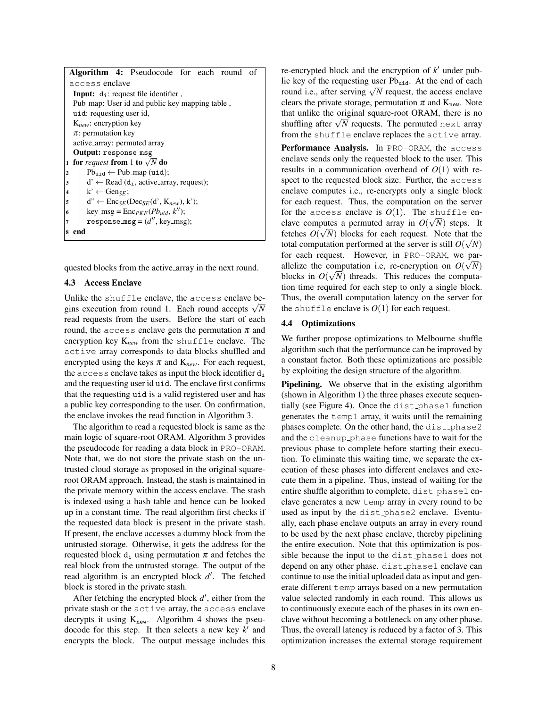|                                                | <b>Algorithm 4:</b> Pseudocode for each round                        |  |  |  |  |  |  |  |
|------------------------------------------------|----------------------------------------------------------------------|--|--|--|--|--|--|--|
| access <b>enclave</b>                          |                                                                      |  |  |  |  |  |  |  |
| <b>Input:</b> $d_i$ : request file identifier, |                                                                      |  |  |  |  |  |  |  |
| Pub_map: User id and public key mapping table, |                                                                      |  |  |  |  |  |  |  |
| uid: requesting user id,                       |                                                                      |  |  |  |  |  |  |  |
| $K_{new}$ : encryption key                     |                                                                      |  |  |  |  |  |  |  |
| $\pi$ : permutation key                        |                                                                      |  |  |  |  |  |  |  |
| active_array: permuted array                   |                                                                      |  |  |  |  |  |  |  |
| Output: response_msg                           |                                                                      |  |  |  |  |  |  |  |
| 1                                              | for <i>request</i> from 1 to $\sqrt{N}$ do                           |  |  |  |  |  |  |  |
| $\overline{2}$                                 | $Pb_{\text{mid}} \leftarrow Pub_{\text{map}} (\text{uid});$          |  |  |  |  |  |  |  |
| 3                                              | $d' \leftarrow$ Read (d <sub>i</sub> , active_array, request);       |  |  |  |  |  |  |  |
| $k' \leftarrow Gen_{SE}$<br>4                  |                                                                      |  |  |  |  |  |  |  |
| 5                                              | $d'' \leftarrow \text{Enc}_{SE}(\text{Dec}_{SE}(d', K_{new}), k')$ ; |  |  |  |  |  |  |  |
| 6                                              | key_msg = $\text{Enc}_{PKE}(Pb_{uid}, k'')$ ;                        |  |  |  |  |  |  |  |
| 7                                              | response_msg = $(d'', \text{key\_msg})$ ;                            |  |  |  |  |  |  |  |
| end<br>8                                       |                                                                      |  |  |  |  |  |  |  |

quested blocks from the active array in the next round.

#### 4.3 Access Enclave

Unlike the shuffle enclave, the access enclave be-Unlike the shuttle enclave, the access enclave begins execution from round 1. Each round accepts  $\sqrt{N}$ read requests from the users. Before the start of each round, the access enclave gets the permutation  $\pi$  and encryption key K*new* from the shuffle enclave. The active array corresponds to data blocks shuffled and encrypted using the keys  $\pi$  and  $K_{new}$ . For each request, the  $access$  enclave takes as input the block identifier  $d_i$ and the requesting user id uid. The enclave first confirms that the requesting uid is a valid registered user and has a public key corresponding to the user. On confirmation, the enclave invokes the read function in Algorithm 3.

The algorithm to read a requested block is same as the main logic of square-root ORAM. Algorithm 3 provides the pseudocode for reading a data block in PRO-ORAM. Note that, we do not store the private stash on the untrusted cloud storage as proposed in the original squareroot ORAM approach. Instead, the stash is maintained in the private memory within the access enclave. The stash is indexed using a hash table and hence can be looked up in a constant time. The read algorithm first checks if the requested data block is present in the private stash. If present, the enclave accesses a dummy block from the untrusted storage. Otherwise, it gets the address for the requested block  $d_i$  using permutation  $\pi$  and fetches the real block from the untrusted storage. The output of the read algorithm is an encrypted block d'. The fetched block is stored in the private stash.

After fetching the encrypted block  $d'$ , either from the private stash or the active array, the access enclave decrypts it using  $K_{new}$ . Algorithm 4 shows the pseudocode for this step. It then selects a new key  $k'$  and encrypts the block. The output message includes this

re-encrypted block and the encryption of  $k'$  under public key of the requesting user  $Pb_{uid}$ . At the end of each nc key of the requesting user  $P_{\text{0}_{\text{uid}}}$ . At the end of each<br>round i.e., after serving  $\sqrt{N}$  request, the access enclave clears the private storage, permutation  $\pi$  and  $K_{new}$ . Note that unlike the original square-root ORAM, there is no and uninke the original square-root ORAM, there is no<br>shuffling after  $\sqrt{N}$  requests. The permuted next array from the shuffle enclave replaces the active array.

Performance Analysis. In PRO-ORAM, the access enclave sends only the requested block to the user. This results in a communication overhead of *O*(1) with respect to the requested block size. Further, the access enclave computes i.e., re-encrypts only a single block for each request. Thus, the computation on the server for the access enclave is  $O(1)$ . The shuffle enclave computes a permuted array in  $O(\sqrt{N})$  steps. It fetches  $O(\sqrt{N})$  blocks for each request. Note that the total computation performed at the server is still  $O(\sqrt{N})$ for each request. However, in PRO-ORAM, we parallelize the computation i.e, re-encryption on  $O(\sqrt{N})$ blocks in  $O(\sqrt{N})$  threads. This reduces the computation time required for each step to only a single block. Thus, the overall computation latency on the server for the shuffle enclave is  $O(1)$  for each request.

#### 4.4 Optimizations

We further propose optimizations to Melbourne shuffle algorithm such that the performance can be improved by a constant factor. Both these optimizations are possible by exploiting the design structure of the algorithm.

Pipelining. We observe that in the existing algorithm (shown in Algorithm 1) the three phases execute sequentially (see Figure 4). Once the dist phase1 function generates the temp1 array, it waits until the remaining phases complete. On the other hand, the dist\_phase2 and the cleanup phase functions have to wait for the previous phase to complete before starting their execution. To eliminate this waiting time, we separate the execution of these phases into different enclaves and execute them in a pipeline. Thus, instead of waiting for the entire shuffle algorithm to complete, dist\_phase1 enclave generates a new temp array in every round to be used as input by the dist phase2 enclave. Eventually, each phase enclave outputs an array in every round to be used by the next phase enclave, thereby pipelining the entire execution. Note that this optimization is possible because the input to the dist phase1 does not depend on any other phase. dist\_phase1 enclave can continue to use the initial uploaded data as input and generate different temp arrays based on a new permutation value selected randomly in each round. This allows us to continuously execute each of the phases in its own enclave without becoming a bottleneck on any other phase. Thus, the overall latency is reduced by a factor of 3. This optimization increases the external storage requirement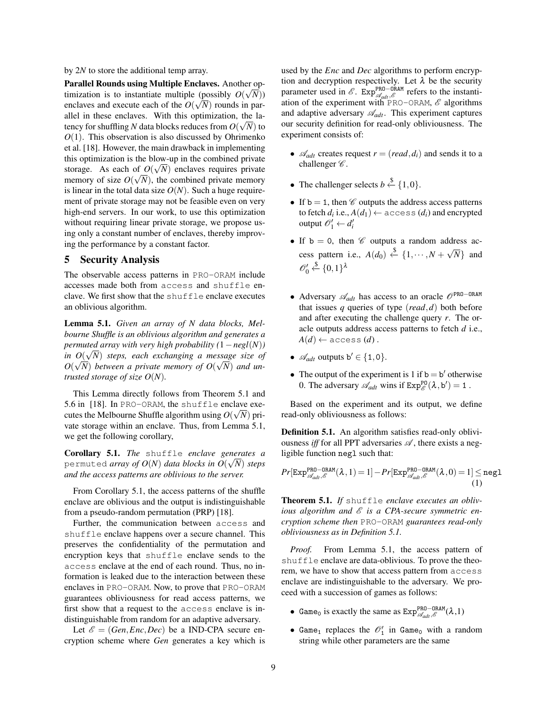by 2*N* to store the additional temp array.

Parallel Rounds using Multiple Enclaves. Another optimization is to instantiate multiple (possibly  $O(\sqrt{N})$ ) enclaves and execute each of the  $O(\sqrt{N})$  rounds in parallel in these enclaves. With this optimization, the latency for shuffling *N* data blocks reduces from  $O(\sqrt{N})$  to  $O(1)$ . This observation is also discussed by Ohrimenko et al. [18]. However, the main drawback in implementing this optimization is the blow-up in the combined private storage. As each of  $O(\sqrt{N})$  enclaves requires private memory of size  $O(\sqrt{N})$ , the combined private memory is linear in the total data size  $O(N)$ . Such a huge requirement of private storage may not be feasible even on very high-end servers. In our work, to use this optimization without requiring linear private storage, we propose using only a constant number of enclaves, thereby improving the performance by a constant factor.

## 5 Security Analysis

The observable access patterns in PRO-ORAM include accesses made both from access and shuffle enclave. We first show that the shuffle enclave executes an oblivious algorithm.

Lemma 5.1. *Given an array of N data blocks, Melbourne Shuffle is an oblivious algorithm and generates a permuted array with very high probability (*1−*negl*(*N*)*)* √ *in*  $O(\sqrt{N})$  *steps, each exchanging a message size of*  $O(\sqrt{N})$  between a private memory of  $O(\sqrt{N})$  and un*trusted storage of size O*(*N*)*.*

This Lemma directly follows from Theorem 5.1 and 5.6 in [18]. In PRO-ORAM, the shuffle enclave executes the Melbourne Shuffle algorithm using  $O(\sqrt{N})$  private storage within an enclave. Thus, from Lemma 5.1, we get the following corollary,

Corollary 5.1. *The* shuffle *enclave generates a* √ permuted *array of*  $O(N)$  *data blocks in*  $O(\sqrt{N})$  *steps and the access patterns are oblivious to the server.*

From Corollary 5.1, the access patterns of the shuffle enclave are oblivious and the output is indistinguishable from a pseudo-random permutation (PRP) [18].

Further, the communication between access and shuffle enclave happens over a secure channel. This preserves the confidentiality of the permutation and encryption keys that shuffle enclave sends to the access enclave at the end of each round. Thus, no information is leaked due to the interaction between these enclaves in PRO-ORAM. Now, to prove that PRO-ORAM guarantees obliviousness for read access patterns, we first show that a request to the access enclave is indistinguishable from random for an adaptive adversary.

Let  $\mathscr{E} = (Gen, Enc, Dec)$  be a IND-CPA secure encryption scheme where *Gen* generates a key which is used by the *Enc* and *Dec* algorithms to perform encryption and decryption respectively. Let  $\lambda$  be the security parameter used in  $\mathscr{E}$ .  $Exp_{\mathscr{A}_{adv}, \mathscr{E}}^{PRO-ORAM}$  refers to the instantiation of the experiment with PRO-ORAM,  $\mathscr E$  algorithms and adaptive adversary  $\mathcal{A}_{adt}$ . This experiment captures our security definition for read-only obliviousness. The experiment consists of:

- $\mathcal{A}_{\text{adv}}$  creates request  $r = (read, d_i)$  and sends it to a challenger  $\mathscr{C}$ .
- The challenger selects  $b \stackrel{\$}{\leftarrow} \{1,0\}.$
- If  $b = 1$ , then  $\mathcal C$  outputs the address access patterns to fetch  $d_i$  i.e.,  $A(d_1) \leftarrow \text{access}(d_i)$  and encrypted  $\omega$  *o*<sup> $\theta$ </sup><sub> $1$ </sub>  $\leftarrow$  *d*<sup> $\theta$ </sup><sub>*i*</sub>
- If  $b = 0$ , then  $\mathscr C$  outputs a random address access pattern i.e.,  $A(d_0) \stackrel{\&}{}\stackrel{\frown}{=} \{1, \cdots, N + \sqrt{N}\}$ *N*} and  $\mathscr{O}_0' \overset{\$}{\leftarrow} \{0,1\}^{\lambda}$
- Adversary A*adt* has access to an oracle OPRO−ORAM that issues *q* queries of type (*read*,*d*) both before and after executing the challenge query *r*. The oracle outputs address access patterns to fetch *d* i.e.,  $A(d) \leftarrow$  access  $(d)$ .
- $\mathscr{A}_{\text{adv}}$  outputs  $b' \in \{1, 0\}.$
- The output of the experiment is 1 if  $b = b'$  otherwise 0. The adversary  $\mathscr{A}_{adt}$  wins if  $Exp_{\mathscr{E}}^{p_0}(\lambda, b') = 1$ .

Based on the experiment and its output, we define read-only obliviousness as follows:

Definition 5.1. An algorithm satisfies read-only obliviousness *iff* for all PPT adversaries  $\mathscr A$ , there exists a negligible function negl such that:

$$
Pr[\mathtt{Exp}_{\mathscr{A}_{adv}, \mathscr{E}}^{\tt PRO-ORAM}(\lambda, 1) = 1] - Pr[\mathtt{Exp}_{\mathscr{A}_{adv}, \mathscr{E}}^{\tt PRO-ORAM}(\lambda, 0) = 1] \leq \mathtt{negl} \tag{1}
$$

Theorem 5.1. *If* shuffle *enclave executes an obliv*ious algorithm and  $\mathscr E$  is a CPA-secure symmetric en*cryption scheme then* PRO-ORAM *guarantees read-only obliviousness as in Definition 5.1.*

*Proof.* From Lemma 5.1, the access pattern of shuffle enclave are data-oblivious. To prove the theorem, we have to show that access pattern from access enclave are indistinguishable to the adversary. We proceed with a succession of games as follows:

- Game<sub>0</sub> is exactly the same as  $Exp_{\mathscr{A}_{adv}, \mathscr{E}}^{PRO-ORAM}(\lambda, 1)$
- Game<sub>1</sub> replaces the  $\mathcal{O}'_1$  in Game<sub>0</sub> with a random string while other parameters are the same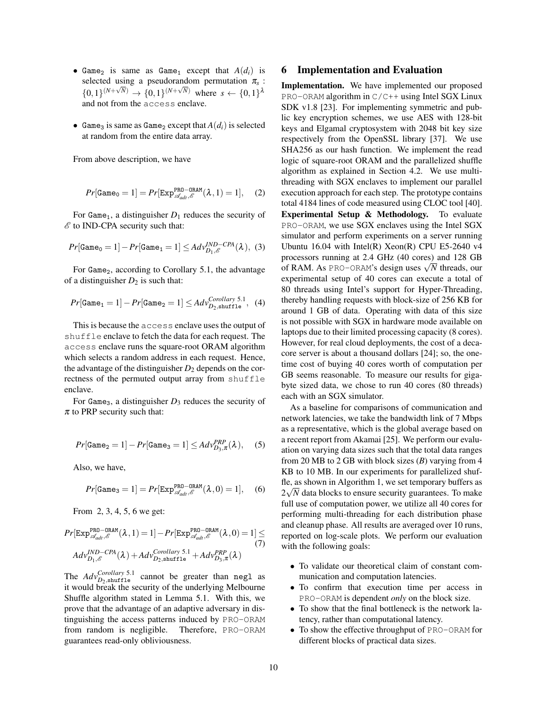- Game<sub>2</sub> is same as Game<sub>1</sub> except that  $A(d_i)$  is selected using a pseudorandom permutation  $\pi_s$ :  $\{0,1\}^{(N+\sqrt{N})} \to \{0,1\}^{(N+\sqrt{N})}$  where  $s \leftarrow \{0,1\}^{\lambda}$ and not from the access enclave.
- Game<sub>3</sub> is same as Game<sub>2</sub> except that  $A(d_i)$  is selected at random from the entire data array.

From above description, we have

$$
Pr[\text{Game}_0 = 1] = Pr[\text{Exp}_{\mathscr{A}_{\text{add}}, \mathscr{E}}^{\text{PRO}-\text{ORAM}}(\lambda, 1) = 1], \quad (2)
$$

For Game<sub>1</sub>, a distinguisher  $D_1$  reduces the security of  $\mathscr E$  to IND-CPA security such that:

$$
Pr[\texttt{Game}_0 = 1] - Pr[\texttt{Game}_1 = 1] \leq Adv_{D_1, \mathscr{E}}^{IND-CPA}(\lambda), (3)
$$

For  $Game<sub>2</sub>$ , according to Corollary 5.1, the advantage of a distinguisher  $D_2$  is such that:

$$
Pr[\texttt{Game}_1 = 1] - Pr[\texttt{Game}_2 = 1] \leq Adv_{D_2, \text{shuffle}}^{Corollary 5.1}, \quad (4)
$$

This is because the access enclave uses the output of shuffle enclave to fetch the data for each request. The access enclave runs the square-root ORAM algorithm which selects a random address in each request. Hence, the advantage of the distinguisher  $D_2$  depends on the correctness of the permuted output array from shuffle enclave.

For Game<sub>3</sub>, a distinguisher  $D_3$  reduces the security of  $\pi$  to PRP security such that:

$$
Pr[\texttt{Game}_2 = 1] - Pr[\texttt{Game}_3 = 1] \leq A d v_{D_3, \pi}^{PRP}(\lambda), \quad (5)
$$

Also, we have,

$$
Pr[\text{Game}_3 = 1] = Pr[\text{Exp}_{\mathscr{A}_{\text{adv}}, \mathscr{E}}^{\text{PRO}-\text{ORAM}}(\lambda, 0) = 1], \quad (6)
$$

From 2, 3, 4, 5, 6 we get:

$$
Pr[\text{Exp}_{\mathcal{A}_{\text{add}},\mathcal{E}}^{\text{PRO-ORAM}}(\lambda,1) = 1] - Pr[\text{Exp}_{\mathcal{A}_{\text{add}},\mathcal{E}}^{\text{PRO-ORAM}}(\lambda,0) = 1] \leq (7)
$$
  
 
$$
Adv_{D_1,\mathcal{E}}^{\text{IND-CPA}}(\lambda) + Adv_{D_2,\text{shuffle}}^{\text{Corollary 5.1}} + Adv_{D_3,\pi}^{\text{PRP}}(\lambda)
$$

The  $Adv_{D_2,\text{shuffle}}^{Corollary 5.1}$  cannot be greater than negl as it would break the security of the underlying Melbourne Shuffle algorithm stated in Lemma 5.1. With this, we prove that the advantage of an adaptive adversary in distinguishing the access patterns induced by PRO-ORAM from random is negligible. Therefore, PRO-ORAM guarantees read-only obliviousness.

### 6 Implementation and Evaluation

Implementation. We have implemented our proposed PRO-ORAM algorithm in  $C/C++$  using Intel SGX Linux SDK v1.8 [23]. For implementing symmetric and public key encryption schemes, we use AES with 128-bit keys and Elgamal cryptosystem with 2048 bit key size respectively from the OpenSSL library [37]. We use SHA256 as our hash function. We implement the read logic of square-root ORAM and the parallelized shuffle algorithm as explained in Section 4.2. We use multithreading with SGX enclaves to implement our parallel execution approach for each step. The prototype contains total 4184 lines of code measured using CLOC tool [40]. Experimental Setup & Methodology. To evaluate PRO-ORAM, we use SGX enclaves using the Intel SGX simulator and perform experiments on a server running Ubuntu 16.04 with Intel(R) Xeon(R) CPU E5-2640 v4 processors running at 2.4 GHz (40 cores) and 128 GB processors running at 2.4 GHz (40 cores) and 128 GB<br>of RAM. As PRO−ORAM's design uses  $\sqrt{N}$  threads, our experimental setup of 40 cores can execute a total of 80 threads using Intel's support for Hyper-Threading, thereby handling requests with block-size of 256 KB for around 1 GB of data. Operating with data of this size is not possible with SGX in hardware mode available on laptops due to their limited processing capacity (8 cores). However, for real cloud deployments, the cost of a decacore server is about a thousand dollars [24]; so, the onetime cost of buying 40 cores worth of computation per GB seems reasonable. To measure our results for gigabyte sized data, we chose to run 40 cores (80 threads) each with an SGX simulator.

As a baseline for comparisons of communication and network latencies, we take the bandwidth link of 7 Mbps as a representative, which is the global average based on a recent report from Akamai [25]. We perform our evaluation on varying data sizes such that the total data ranges from 20 MB to 2 GB with block sizes (*B*) varying from 4 KB to 10 MB. In our experiments for parallelized shuffle, as shown in Algorithm 1, we set temporary buffers as  $2\sqrt{N}$  data blocks to ensure security guarantees. To make full use of computation power, we utilize all 40 cores for performing multi-threading for each distribution phase and cleanup phase. All results are averaged over 10 runs, reported on log-scale plots. We perform our evaluation with the following goals:

- To validate our theoretical claim of constant communication and computation latencies.
- To confirm that execution time per access in PRO-ORAM is dependent *only* on the block size.
- To show that the final bottleneck is the network latency, rather than computational latency.
- To show the effective throughput of PRO-ORAM for different blocks of practical data sizes.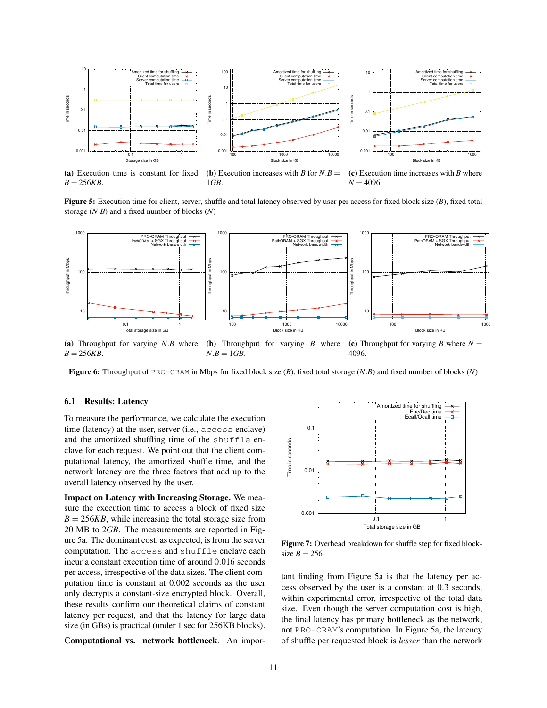

(a) Execution time is constant for fixed  $B = 256KB$ .

(**b**) Execution increases with *B* for  $N.B =$ 1*GB*.

(c) Execution time increases with *B* where  $N = 4096$ .

Figure 5: Execution time for client, server, shuffle and total latency observed by user per access for fixed block size (*B*), fixed total storage (*N*.*B*) and a fixed number of blocks (*N*)



(a) Throughput for varying *N*.*B* where  $B = 256KB$ . (b) Throughput for varying *B* where  $N.B = 1 GB$ . (c) Throughput for varying *B* where  $N =$ 4096.

Figure 6: Throughput of PRO-ORAM in Mbps for fixed block size (*B*), fixed total storage (*N*.*B*) and fixed number of blocks (*N*)

### 6.1 Results: Latency

To measure the performance, we calculate the execution time (latency) at the user, server (i.e., access enclave) and the amortized shuffling time of the shuffle enclave for each request. We point out that the client computational latency, the amortized shuffle time, and the network latency are the three factors that add up to the overall latency observed by the user.

Impact on Latency with Increasing Storage. We measure the execution time to access a block of fixed size  $B = 256KB$ , while increasing the total storage size from 20 MB to 2*GB*. The measurements are reported in Figure 5a. The dominant cost, as expected, is from the server computation. The access and shuffle enclave each incur a constant execution time of around 0.016 seconds per access, irrespective of the data sizes. The client computation time is constant at 0.002 seconds as the user only decrypts a constant-size encrypted block. Overall, these results confirm our theoretical claims of constant latency per request, and that the latency for large data size (in GBs) is practical (under 1 sec for 256KB blocks).

Computational vs. network bottleneck. An impor-



Figure 7: Overhead breakdown for shuffle step for fixed blocksize  $B = 256$ 

tant finding from Figure 5a is that the latency per access observed by the user is a constant at 0.3 seconds, within experimental error, irrespective of the total data size. Even though the server computation cost is high, the final latency has primary bottleneck as the network, not PRO-ORAM's computation. In Figure 5a, the latency of shuffle per requested block is *lesser* than the network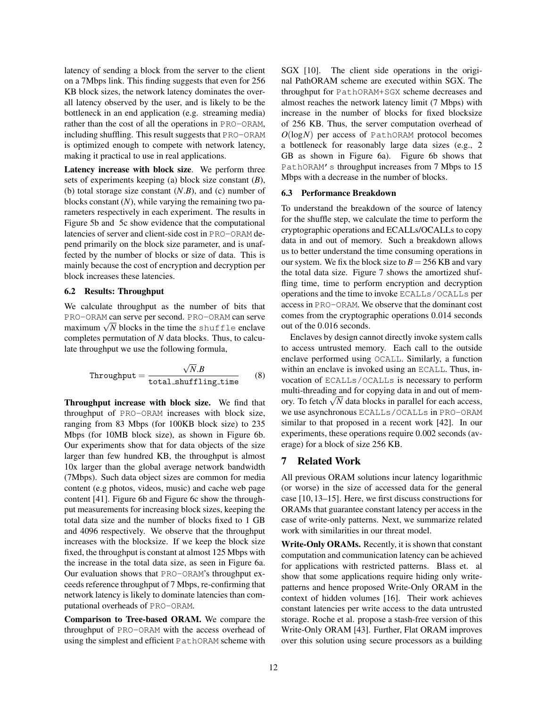latency of sending a block from the server to the client on a 7Mbps link. This finding suggests that even for 256 KB block sizes, the network latency dominates the overall latency observed by the user, and is likely to be the bottleneck in an end application (e.g. streaming media) rather than the cost of all the operations in PRO-ORAM, including shuffling. This result suggests that PRO-ORAM is optimized enough to compete with network latency, making it practical to use in real applications.

Latency increase with block size. We perform three sets of experiments keeping (a) block size constant (*B*), (b) total storage size constant (*N*.*B*), and (c) number of blocks constant (*N*), while varying the remaining two parameters respectively in each experiment. The results in Figure 5b and 5c show evidence that the computational latencies of server and client-side cost in PRO-ORAM depend primarily on the block size parameter, and is unaffected by the number of blocks or size of data. This is mainly because the cost of encryption and decryption per block increases these latencies.

#### 6.2 Results: Throughput

We calculate throughput as the number of bits that PRO-ORAM can serve per second. PRO-ORAM can serve  $P_{\text{KO}-\text{OKAM}}$  can serve per second.  $P_{\text{KO}-\text{OKAM}}$  can serve maximum  $\sqrt{N}$  blocks in the time the shuffle enclave completes permutation of *N* data blocks. Thus, to calculate throughput we use the following formula,

$$
\text{Throughout} = \frac{\sqrt{N.B}}{\text{total\_shuffling_time}} \qquad (8)
$$

Throughput increase with block size. We find that throughput of PRO-ORAM increases with block size, ranging from 83 Mbps (for 100KB block size) to 235 Mbps (for 10MB block size), as shown in Figure 6b. Our experiments show that for data objects of the size larger than few hundred KB, the throughput is almost 10x larger than the global average network bandwidth (7Mbps). Such data object sizes are common for media content (e.g photos, videos, music) and cache web page content [41]. Figure 6b and Figure 6c show the throughput measurements for increasing block sizes, keeping the total data size and the number of blocks fixed to 1 GB and 4096 respectively. We observe that the throughput increases with the blocksize. If we keep the block size fixed, the throughput is constant at almost 125 Mbps with the increase in the total data size, as seen in Figure 6a. Our evaluation shows that PRO-ORAM's throughput exceeds reference throughput of 7 Mbps, re-confirming that network latency is likely to dominate latencies than computational overheads of PRO-ORAM.

Comparison to Tree-based ORAM. We compare the throughput of PRO-ORAM with the access overhead of using the simplest and efficient PathORAM scheme with SGX [10]. The client side operations in the original PathORAM scheme are executed within SGX. The throughput for PathORAM+SGX scheme decreases and almost reaches the network latency limit (7 Mbps) with increase in the number of blocks for fixed blocksize of 256 KB. Thus, the server computation overhead of *O*(log*N*) per access of PathORAM protocol becomes a bottleneck for reasonably large data sizes (e.g., 2 GB as shown in Figure 6a). Figure 6b shows that PathORAM's throughput increases from 7 Mbps to 15 Mbps with a decrease in the number of blocks.

#### 6.3 Performance Breakdown

To understand the breakdown of the source of latency for the shuffle step, we calculate the time to perform the cryptographic operations and ECALLs/OCALLs to copy data in and out of memory. Such a breakdown allows us to better understand the time consuming operations in our system. We fix the block size to  $B = 256$  KB and vary the total data size. Figure 7 shows the amortized shuffling time, time to perform encryption and decryption operations and the time to invoke ECALLs/OCALLs per access in PRO-ORAM. We observe that the dominant cost comes from the cryptographic operations 0.014 seconds out of the 0.016 seconds.

Enclaves by design cannot directly invoke system calls to access untrusted memory. Each call to the outside enclave performed using OCALL. Similarly, a function within an enclave is invoked using an ECALL. Thus, invocation of ECALLs/OCALLs is necessary to perform multi-threading and for copying data in and out of memmulu-inreading and for copying data in and out of mem-<br>ory. To fetch  $\sqrt{N}$  data blocks in parallel for each access, we use asynchronous ECALLs/OCALLs in PRO-ORAM similar to that proposed in a recent work [42]. In our experiments, these operations require 0.002 seconds (average) for a block of size 256 KB.

### 7 Related Work

All previous ORAM solutions incur latency logarithmic (or worse) in the size of accessed data for the general case [10, 13–15]. Here, we first discuss constructions for ORAMs that guarantee constant latency per access in the case of write-only patterns. Next, we summarize related work with similarities in our threat model.

Write-Only ORAMs. Recently, it is shown that constant computation and communication latency can be achieved for applications with restricted patterns. Blass et. al show that some applications require hiding only writepatterns and hence proposed Write-Only ORAM in the context of hidden volumes [16]. Their work achieves constant latencies per write access to the data untrusted storage. Roche et al. propose a stash-free version of this Write-Only ORAM [43]. Further, Flat ORAM improves over this solution using secure processors as a building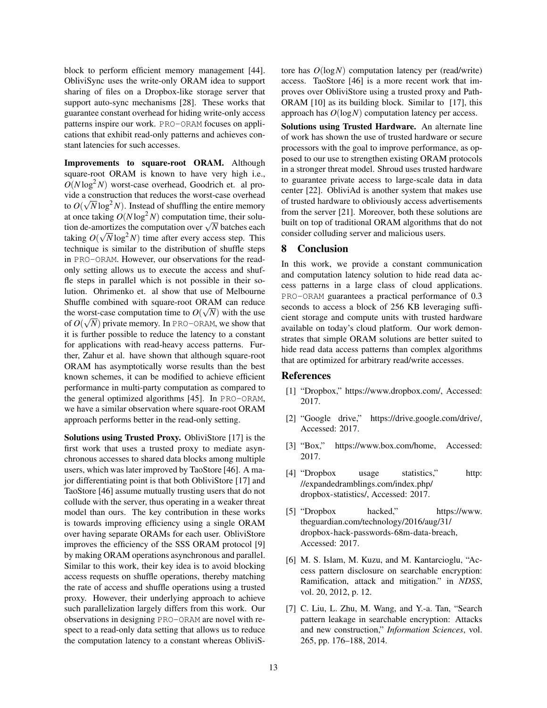block to perform efficient memory management [44]. ObliviSync uses the write-only ORAM idea to support sharing of files on a Dropbox-like storage server that support auto-sync mechanisms [28]. These works that guarantee constant overhead for hiding write-only access patterns inspire our work. PRO-ORAM focuses on applications that exhibit read-only patterns and achieves constant latencies for such accesses.

Improvements to square-root ORAM. Although square-root ORAM is known to have very high i.e.,  $O(N \log^2 N)$  worst-case overhead, Goodrich et. al provide a construction that reduces the worst-case overhead to  $O(\sqrt{N}\log^2 N)$ . Instead of shuffling the entire memory at once taking  $O(N \log^2 N)$  computation time, their soluat once taking  $U(N \log^2 N)$  computation time, their solution de-amortizes the computation over  $\sqrt{N}$  batches each taking  $O(\sqrt{N}\log^2 N)$  time after every access step. This technique is similar to the distribution of shuffle steps in PRO-ORAM. However, our observations for the readonly setting allows us to execute the access and shuffle steps in parallel which is not possible in their solution. Ohrimenko et. al show that use of Melbourne Shuffle combined with square-root ORAM can reduce √ the worst-case computation time to  $O(\sqrt{N})$  with the use of  $O(\sqrt{N})$  private memory. In PRO-ORAM, we show that it is further possible to reduce the latency to a constant for applications with read-heavy access patterns. Further, Zahur et al. have shown that although square-root ORAM has asymptotically worse results than the best known schemes, it can be modified to achieve efficient performance in multi-party computation as compared to the general optimized algorithms [45]. In PRO-ORAM, we have a similar observation where square-root ORAM approach performs better in the read-only setting.

Solutions using Trusted Proxy. ObliviStore [17] is the first work that uses a trusted proxy to mediate asynchronous accesses to shared data blocks among multiple users, which was later improved by TaoStore [46]. A major differentiating point is that both ObliviStore [17] and TaoStore [46] assume mutually trusting users that do not collude with the server, thus operating in a weaker threat model than ours. The key contribution in these works is towards improving efficiency using a single ORAM over having separate ORAMs for each user. ObliviStore improves the efficiency of the SSS ORAM protocol [9] by making ORAM operations asynchronous and parallel. Similar to this work, their key idea is to avoid blocking access requests on shuffle operations, thereby matching the rate of access and shuffle operations using a trusted proxy. However, their underlying approach to achieve such parallelization largely differs from this work. Our observations in designing PRO-ORAM are novel with respect to a read-only data setting that allows us to reduce the computation latency to a constant whereas ObliviS- tore has *O*(log*N*) computation latency per (read/write) access. TaoStore [46] is a more recent work that improves over ObliviStore using a trusted proxy and Path-ORAM [10] as its building block. Similar to [17], this approach has *O*(log*N*) computation latency per access.

Solutions using Trusted Hardware. An alternate line of work has shown the use of trusted hardware or secure processors with the goal to improve performance, as opposed to our use to strengthen existing ORAM protocols in a stronger threat model. Shroud uses trusted hardware to guarantee private access to large-scale data in data center [22]. ObliviAd is another system that makes use of trusted hardware to obliviously access advertisements from the server [21]. Moreover, both these solutions are built on top of traditional ORAM algorithms that do not consider colluding server and malicious users.

## 8 Conclusion

In this work, we provide a constant communication and computation latency solution to hide read data access patterns in a large class of cloud applications. PRO-ORAM guarantees a practical performance of 0.3 seconds to access a block of 256 KB leveraging sufficient storage and compute units with trusted hardware available on today's cloud platform. Our work demonstrates that simple ORAM solutions are better suited to hide read data access patterns than complex algorithms that are optimized for arbitrary read/write accesses.

### References

- [1] "Dropbox," https://www.dropbox.com/, Accessed: 2017.
- [2] "Google drive," https://drive.google.com/drive/, Accessed: 2017.
- [3] "Box," https://www.box.com/home, Accessed: 2017.
- [4] "Dropbox usage statistics," http: //expandedramblings.com/index.php/ dropbox-statistics/, Accessed: 2017.
- [5] "Dropbox hacked," https://www. theguardian.com/technology/2016/aug/31/ dropbox-hack-passwords-68m-data-breach, Accessed: 2017.
- [6] M. S. Islam, M. Kuzu, and M. Kantarcioglu, "Access pattern disclosure on searchable encryption: Ramification, attack and mitigation." in *NDSS*, vol. 20, 2012, p. 12.
- [7] C. Liu, L. Zhu, M. Wang, and Y.-a. Tan, "Search pattern leakage in searchable encryption: Attacks and new construction," *Information Sciences*, vol. 265, pp. 176–188, 2014.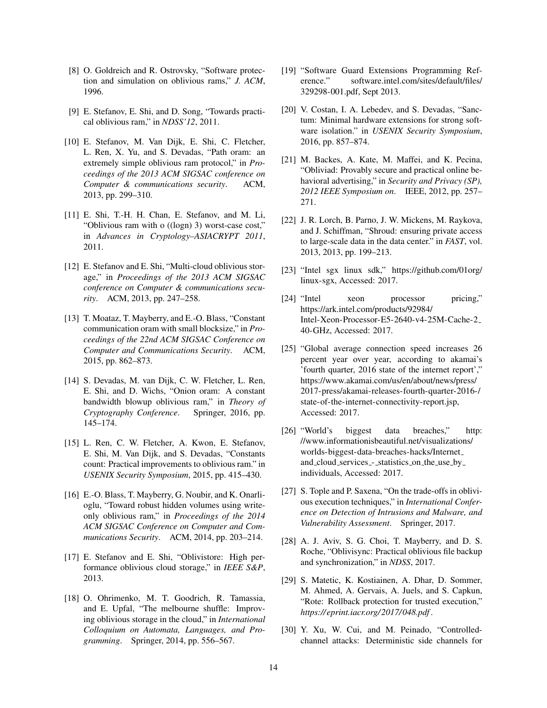- [8] O. Goldreich and R. Ostrovsky, "Software protection and simulation on oblivious rams," *J. ACM*, 1996.
- [9] E. Stefanov, E. Shi, and D. Song, "Towards practical oblivious ram," in *NDSS'12*, 2011.
- [10] E. Stefanov, M. Van Dijk, E. Shi, C. Fletcher, L. Ren, X. Yu, and S. Devadas, "Path oram: an extremely simple oblivious ram protocol," in *Proceedings of the 2013 ACM SIGSAC conference on Computer & communications security*. ACM, 2013, pp. 299–310.
- [11] E. Shi, T.-H. H. Chan, E. Stefanov, and M. Li, "Oblivious ram with o ((logn) 3) worst-case cost," in *Advances in Cryptology–ASIACRYPT 2011*, 2011.
- [12] E. Stefanov and E. Shi, "Multi-cloud oblivious storage," in *Proceedings of the 2013 ACM SIGSAC conference on Computer & communications security*. ACM, 2013, pp. 247–258.
- [13] T. Moataz, T. Mayberry, and E.-O. Blass, "Constant" communication oram with small blocksize," in *Proceedings of the 22nd ACM SIGSAC Conference on Computer and Communications Security*. ACM, 2015, pp. 862–873.
- [14] S. Devadas, M. van Dijk, C. W. Fletcher, L. Ren, E. Shi, and D. Wichs, "Onion oram: A constant bandwidth blowup oblivious ram," in *Theory of Cryptography Conference*. Springer, 2016, pp. 145–174.
- [15] L. Ren, C. W. Fletcher, A. Kwon, E. Stefanov, E. Shi, M. Van Dijk, and S. Devadas, "Constants count: Practical improvements to oblivious ram." in *USENIX Security Symposium*, 2015, pp. 415–430.
- [16] E.-O. Blass, T. Mayberry, G. Noubir, and K. Onarlioglu, "Toward robust hidden volumes using writeonly oblivious ram," in *Proceedings of the 2014 ACM SIGSAC Conference on Computer and Communications Security*. ACM, 2014, pp. 203–214.
- [17] E. Stefanov and E. Shi, "Oblivistore: High performance oblivious cloud storage," in *IEEE S&P*, 2013.
- [18] O. Ohrimenko, M. T. Goodrich, R. Tamassia, and E. Upfal, "The melbourne shuffle: Improving oblivious storage in the cloud," in *International Colloquium on Automata, Languages, and Programming*. Springer, 2014, pp. 556–567.
- [19] "Software Guard Extensions Programming Reference." software.intel.com/sites/default/files/ 329298-001.pdf, Sept 2013.
- [20] V. Costan, I. A. Lebedev, and S. Devadas, "Sanctum: Minimal hardware extensions for strong software isolation." in *USENIX Security Symposium*, 2016, pp. 857–874.
- [21] M. Backes, A. Kate, M. Maffei, and K. Pecina, "Obliviad: Provably secure and practical online behavioral advertising," in *Security and Privacy (SP), 2012 IEEE Symposium on*. IEEE, 2012, pp. 257– 271.
- [22] J. R. Lorch, B. Parno, J. W. Mickens, M. Raykova, and J. Schiffman, "Shroud: ensuring private access to large-scale data in the data center." in *FAST*, vol. 2013, 2013, pp. 199–213.
- [23] "Intel sgx linux sdk," https://github.com/01org/ linux-sgx, Accessed: 2017.
- [24] "Intel xeon processor pricing," https://ark.intel.com/products/92984/ Intel-Xeon-Processor-E5-2640-v4-25M-Cache-2 40-GHz, Accessed: 2017.
- [25] "Global average connection speed increases 26 percent year over year, according to akamai's 'fourth quarter, 2016 state of the internet report'," https://www.akamai.com/us/en/about/news/press/ 2017-press/akamai-releases-fourth-quarter-2016-/ state-of-the-internet-connectivity-report.jsp, Accessed: 2017.
- [26] "World's biggest data breaches," http: //www.informationisbeautiful.net/visualizations/ worlds-biggest-data-breaches-hacks/Internet and cloud services - statistics on the use by individuals, Accessed: 2017.
- [27] S. Tople and P. Saxena, "On the trade-offs in oblivious execution techniques," in *International Conference on Detection of Intrusions and Malware, and Vulnerability Assessment*. Springer, 2017.
- [28] A. J. Aviv, S. G. Choi, T. Mayberry, and D. S. Roche, "Oblivisync: Practical oblivious file backup and synchronization," in *NDSS*, 2017.
- [29] S. Matetic, K. Kostiainen, A. Dhar, D. Sommer, M. Ahmed, A. Gervais, A. Juels, and S. Capkun, "Rote: Rollback protection for trusted execution," *https://eprint.iacr.org/ 2017/ 048.pdf* .
- [30] Y. Xu, W. Cui, and M. Peinado, "Controlledchannel attacks: Deterministic side channels for